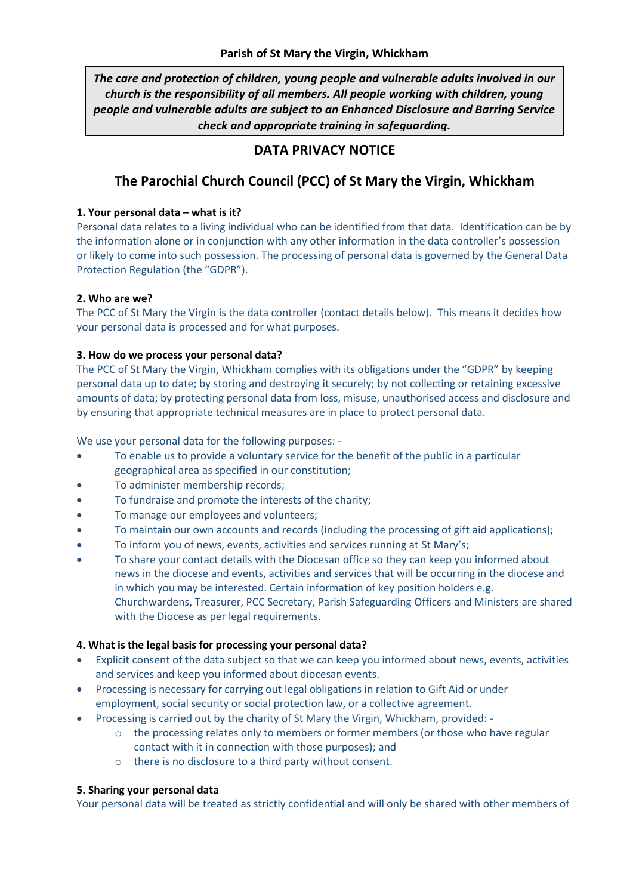*The care and protection of children, young people and vulnerable adults involved in our church is the responsibility of all members. All people working with children, young people and vulnerable adults are subject to an Enhanced Disclosure and Barring Service check and appropriate training in safeguarding.*

# **DATA PRIVACY NOTICE**

# **The Parochial Church Council (PCC) of St Mary the Virgin, Whickham**

## **1. Your personal data – what is it?**

Personal data relates to a living individual who can be identified from that data. Identification can be by the information alone or in conjunction with any other information in the data controller's possession or likely to come into such possession. The processing of personal data is governed by the General Data Protection Regulation (the "GDPR").

# **2. Who are we?**

The PCC of St Mary the Virgin is the data controller (contact details below). This means it decides how your personal data is processed and for what purposes.

## **3. How do we process your personal data?**

The PCC of St Mary the Virgin, Whickham complies with its obligations under the "GDPR" by keeping personal data up to date; by storing and destroying it securely; by not collecting or retaining excessive amounts of data; by protecting personal data from loss, misuse, unauthorised access and disclosure and by ensuring that appropriate technical measures are in place to protect personal data.

We use your personal data for the following purposes: -

- To enable us to provide a voluntary service for the benefit of the public in a particular geographical area as specified in our constitution;
- To administer membership records;
- To fundraise and promote the interests of the charity;
- To manage our employees and volunteers;
- To maintain our own accounts and records (including the processing of gift aid applications);
- To inform you of news, events, activities and services running at St Mary's;
- To share your contact details with the Diocesan office so they can keep you informed about news in the diocese and events, activities and services that will be occurring in the diocese and in which you may be interested. Certain information of key position holders e.g. Churchwardens, Treasurer, PCC Secretary, Parish Safeguarding Officers and Ministers are shared with the Diocese as per legal requirements.

#### **4. What is the legal basis for processing your personal data?**

- Explicit consent of the data subject so that we can keep you informed about news, events, activities and services and keep you informed about diocesan events.
- Processing is necessary for carrying out legal obligations in relation to Gift Aid or under employment, social security or social protection law, or a collective agreement.
- Processing is carried out by the charity of St Mary the Virgin, Whickham, provided:
	- o the processing relates only to members or former members (or those who have regular contact with it in connection with those purposes); and
	- o there is no disclosure to a third party without consent.

# **5. Sharing your personal data**

Your personal data will be treated as strictly confidential and will only be shared with other members of